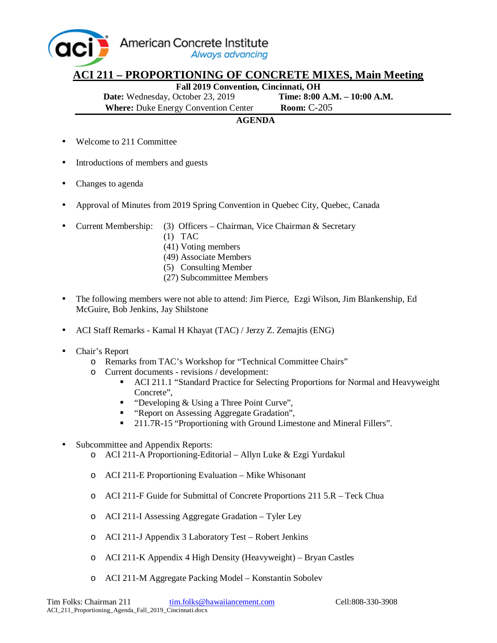

## **ACI 211 – PROPORTIONING OF CONCRETE MIXES, Main Meeting**

**Fall 2019 Convention, Cincinnati, OH** 

**Date:** Wednesday, October 23, 2019 **Time: 8:00 A.M. – 10:00 A.M. Where:** Duke Energy Convention Center **Room:** C-205

## **AGENDA**

- Welcome to 211 Committee
- Introductions of members and guests
- Changes to agenda
- Approval of Minutes from 2019 Spring Convention in Quebec City, Quebec, Canada
- Current Membership: (3) Officers Chairman, Vice Chairman & Secretary
	- (1) TAC
	- (41) Voting members
	- (49) Associate Members
	- (5) Consulting Member
	- (27) Subcommittee Members
- The following members were not able to attend: Jim Pierce, Ezgi Wilson, Jim Blankenship, Ed McGuire, Bob Jenkins, Jay Shilstone
- ACI Staff Remarks Kamal H Khayat (TAC) / Jerzy Z. Zemajtis (ENG)
- Chair's Report
	- o Remarks from TAC's Workshop for "Technical Committee Chairs"
	- o Current documents revisions / development:
		- ACI 211.1 "Standard Practice for Selecting Proportions for Normal and Heavyweight Concrete".
		- "Developing & Using a Three Point Curve",
		- " "Report on Assessing Aggregate Gradation",
		- <sup>•</sup> 211.7R-15 "Proportioning with Ground Limestone and Mineral Fillers".
- Subcommittee and Appendix Reports:
	- o ACI 211‐A Proportioning‐Editorial Allyn Luke & Ezgi Yurdakul
	- o ACI 211‐E Proportioning Evaluation Mike Whisonant
	- o ACI 211-F Guide for Submittal of Concrete Proportions 211 5.R Teck Chua
	- o ACI 211‐I Assessing Aggregate Gradation Tyler Ley
	- o ACI 211-J Appendix 3 Laboratory Test Robert Jenkins
	- o ACI 211-K Appendix 4 High Density (Heavyweight) Bryan Castles
	- o ACI 211‐M Aggregate Packing Model Konstantin Sobolev